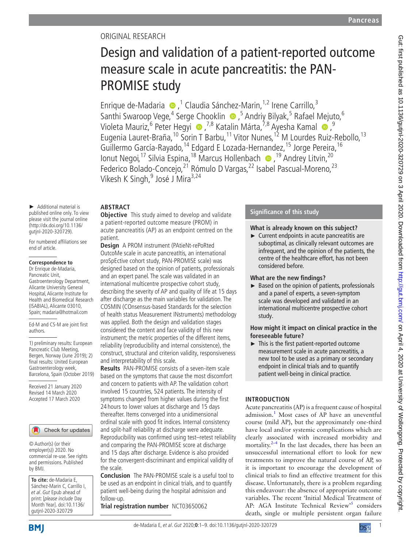# Original research

# Design and validation of a patient-reported outcome measure scale in acute pancreatitis: the PAN-PROMISE study

Enriquede-Madaria  $\bullet$ ,<sup>1</sup> Claudia Sánchez-Marin,<sup>1,2</sup> Irene Carrillo,<sup>3</sup> Santhi Swaroop Vege,<sup>4</sup> Serge Chooklin (b),<sup>5</sup> Andriy Bilyak,<sup>5</sup> Rafael Mejuto,<sup>6</sup> Violeta Mauriz,6 Peter Hegyi ,7,8 Katalin Márta,7,8 Ayesha Kamal ,9 Eugenia Lauret-Braña,<sup>10</sup> Sorin T Barbu,<sup>11</sup> Vitor Nunes,<sup>12</sup> M Lourdes Ruiz-Rebollo,<sup>13</sup> Guillermo García-Rayado, <sup>14</sup> Edgard E Lozada-Hernandez, <sup>15</sup> Jorge Pereira, <sup>16</sup> Ionut Negoi,<sup>17</sup> Silvia Espina,<sup>18</sup> Marcus Hollenbach · ● ,<sup>19</sup> Andrey Litvin,<sup>20</sup> Federico Bolado-Concejo,<sup>21</sup> Rómulo D Vargas,<sup>22</sup> Isabel Pascual-Moreno,<sup>23</sup> Vikesh K Singh,<sup>9</sup> José J Mira<sup>3,24</sup>

# **Abstract**

► Additional material is published online only. To view please visit the journal online [\(http://dx.doi.org/10.1136/](http://dx.doi.org/10.1136/gutjnl-2020-320729) [gutjnl-2020-320729\)](http://dx.doi.org/10.1136/gutjnl-2020-320729).

For numbered affiliations see end of article.

# **Correspondence to**

Dr Enrique de-Madaria, Pancreatic Unit, Gastroenterology Department, Alicante University General Hospital, Alicante Institute for Health and Biomedical Research (ISABIAL), Alicante 03010, Spain; madaria@hotmail.com

Ed-M and CS-M are joint first authors.

1) preliminary results: European Pancreatic Club Meeting, Bergen, Norway (June 2019); 2) final results: United European Gastroenterology week, Barcelona, Spain (October 2019)

Received 21 January 2020 Revised 14 March 2020 Accepted 17 March 2020

# Check for updates

© Author(s) (or their employer(s)) 2020. No commercial re-use. See rights and permissions. Published by BMJ.

**To cite:** de-Madaria E, Sánchez-Marin C, Carrillo I, et al. Gut Epub ahead of print: [please include Day Month Year]. doi:10.1136/ gutjnl-2020-320729

**Objective** This study aimed to develop and validate a patient-reported outcome measure (PROM) in acute pancreatitis (AP) as an endpoint centred on the patient.

**Design** A PROM instrument (PAtieNt-rePoRted OutcoMe scale in acute pancreatItis, an international proSpEctive cohort study, PAN-PROMISE scale) was designed based on the opinion of patients, professionals and an expert panel. The scale was validated in an international multicentre prospective cohort study, describing the severity of AP and quality of life at 15 days after discharge as the main variables for validation. The COSMIN (COnsensus-based Standards for the selection of health status Measurement INstruments) methodology was applied. Both the design and validation stages considered the content and face validity of this new instrument; the metric properties of the different items, reliability (reproducibility and internal consistence), the construct, structural and criterion validity, responsiveness and interpretability of this scale.

**Results** PAN-PROMISE consists of a seven-item scale based on the symptoms that cause the most discomfort and concern to patients with AP. The validation cohort involved 15 countries, 524 patients. The intensity of symptoms changed from higher values during the first 24 hours to lower values at discharge and 15 days thereafter. Items converged into a unidimensional ordinal scale with good fit indices. Internal consistency and split-half reliability at discharge were adequate. Reproducibility was confirmed using test–retest reliability and comparing the PAN-PROMISE score at discharge and 15 days after discharge. Evidence is also provided for the convergent-discriminant and empirical validity of the scale.

**Conclusion** The PAN-PROMISE scale is a useful tool to be used as an endpoint in clinical trials, and to quantify patient well-being during the hospital admission and follow-up.

**Trial registration number** <NCT03650062>

# **Significance of this study**

# **What is already known on this subject?**

► Current endpoints in acute pancreatitis are suboptimal, as clinically relevant outcomes are infrequent, and the opinion of the patients, the centre of the healthcare effort, has not been considered before.

# **What are the new findings?**

► Based on the opinion of patients, professionals and a panel of experts, a seven-symptom scale was developed and validated in an international multicentre prospective cohort study.

# **How might it impact on clinical practice in the foreseeable future?**

► This is the first patient-reported outcome measurement scale in acute pancreatitis, a new tool to be used as a primary or secondary endpoint in clinical trials and to quantify patient well-being in clinical practice.

# **Introduction**

Acute pancreatitis (AP) is a frequent cause of hospital admission.<sup>[1](#page-8-0)</sup> Most cases of AP have an uneventful course (mild AP), but the approximately one-third have local and/or systemic complications which are clearly associated with increased morbidity and mortality. $2-4$  In the last decades, there has been an unsuccessful international effort to look for new treatments to improve the natural course of AP, so it is important to encourage the development of clinical trials to find an effective treatment for this disease. Unfortunately, there is a problem regarding this endeavour: the absence of appropriate outcome variables. The recent 'Initial Medical Treatment of AP: AGA Institute Technical Review'<sup>[5](#page-8-2)</sup> considers death, single or multiple persistent organ failure



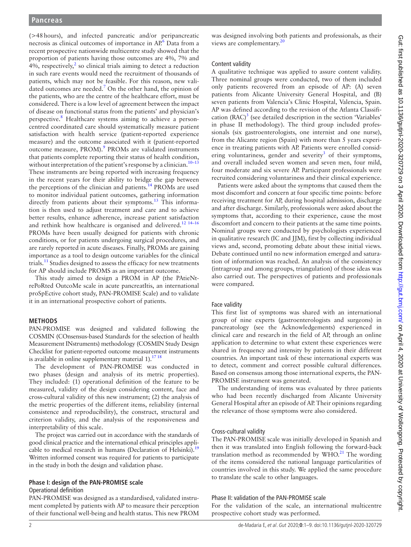(>48hours), and infected pancreatic and/or peripancreatic necrosis as clinical outcomes of importance in AP.<sup>6</sup> Data from a recent prospective nationwide multicentre study showed that the proportion of patients having those outcomes are 4%, 7% and 4%, respectively, $^2$  $^2$  so clinical trials aiming to detect a reduction in such rare events would need the recruitment of thousands of patients, which may not be feasible. For this reason, new validated outcomes are needed. $\overline{7}$  $\overline{7}$  $\overline{7}$  On the other hand, the opinion of the patients, who are the centre of the healthcare effort, must be considered. There is a low level of agreement between the impact of disease on functional status from the patients' and physician's perspective.<sup>[8](#page-8-5)</sup> Healthcare systems aiming to achieve a personcentred coordinated care should systematically measure patient satisfaction with health service (patient-reported experience measure) and the outcome associated with it (patient-reported outcome measure, PROM).<sup>9</sup> PROMs are validated instruments that patients complete reporting their status of health condition, without interpretation of the patient's response by a clinician.<sup>10-13</sup> These instruments are being reported with increasing frequency in the recent years for their ability to bridge the gap between the perceptions of the clinician and patients.<sup>14</sup> PROMs are used to monitor individual patient outcomes, gathering information directly from patients about their symptoms.<sup>13</sup> This information is then used to adjust treatment and care and to achieve better results, enhance adherence, increase patient satisfaction and rethink how healthcare is organised and delivered.<sup>12</sup> <sup>14-16</sup> PROMs have been usually designed for patients with chronic conditions, or for patients undergoing surgical procedures, and are rarely reported in acute diseases. Finally, PROMs are gaining importance as a tool to design outcome variables for the clinical trials.<sup>[11](#page-8-11)</sup> Studies designed to assess the efficacy for new treatments for AP should include PROMS as an important outcome.

This study aimed to design a PROM in AP (the PAtieNtrePoRted OutcoMe scale in acute pancreatItis, an international proSpEctive cohort study, PAN-PROMISE Scale) and to validate it in an international prospective cohort of patients.

# **Methods**

PAN-PROMISE was designed and validated following the COSMIN (COnsensus-based Standards for the selection of health Measurement INstruments) methodology (COSMIN Study Design Checklist for patient-reported outcome measurement instruments is available in online supplementary material  $1$ ).<sup>17 18</sup>

The development of PAN-PROMISE was conducted in two phases (design and analysis of its metric properties). They included: (1) operational definition of the feature to be measured, validity of the design considering content, face and cross-cultural validity of this new instrument; (2) the analysis of the metric properties of the different items, reliability (internal consistence and reproducibility), the construct, structural and criterion validity, and the analysis of the responsiveness and interpretability of this scale.

The project was carried out in accordance with the standards of good clinical practice and the international ethical principles applicable to medical research in humans (Declaration of Helsinki).<sup>19</sup> Written informed consent was required for patients to participate in the study in both the design and validation phase.

# **Phase I: design of the PAN-PROMISE scale**

# Operational definition

PAN-PROMISE was designed as a standardised, validated instrument completed by patients with AP to measure their perception of their functional well-being and health status. This new PROM

was designed involving both patients and professionals, as their views are complementary.<sup>20</sup>

# Content validity

A qualitative technique was applied to assure content validity. Three nominal groups were conducted, two of them included only patients recovered from an episode of AP: (A) seven patients from Alicante University General Hospital, and (B) seven patients from Valencia's Clinic Hospital, Valencia, Spain. AP was defined according to the revision of the Atlanta Classification  $(RAC)^3$  $(RAC)^3$  (see detailed description in the section 'Variables' in phase II methodology). The third group included professionals (six gastroenterologists, one internist and one nurse), from the Alicante region (Spain) with more than 5 years experience in treating patients with AP. Patients were enrolled consid-ering voluntariness, gender and severity<sup>[3](#page-8-15)</sup> of their symptoms, and overall included seven women and seven men, four mild, four moderate and six severe AP. Participant professionals were recruited considering voluntariness and their clinical experience.

Patients were asked about the symptoms that caused them the most discomfort and concern at four specific time points: before receiving treatment for AP, during hospital admission, discharge and after discharge. Similarly, professionals were asked about the symptoms that, according to their experience, cause the most discomfort and concern to their patients at the same time points. Nominal groups were conducted by psychologists experienced in qualitative research (IC and JJM), first by collecting individual views and, second, promoting debate about these initial views. Debate continued until no new information emerged and saturation of information was reached. An analysis of the consistency (intragroup and among groups, triangulation) of those ideas was also carried out. The perspectives of patients and professionals were compared.

# Face validity

This first list of symptoms was shared with an international group of nine experts (gastroenterologists and surgeons) in pancreatology (see the Acknowledgements) experienced in clinical care and research in the field of AP, through an online application to determine to what extent these experiences were shared in frequency and intensity by patients in their different countries. An important task of these international experts was to detect, comment and correct possible cultural differences. Based on consensus among those international experts, the PAN-PROMISE instrument was generated.

The understanding of items was evaluated by three patients who had been recently discharged from Alicante University General Hospital after an episode of AP. Their opinions regarding the relevance of those symptoms were also considered.

# Cross-cultural validity

The PAN-PROMISE scale was initially developed in Spanish and then it was translated into English following the forward-back translation method as recommended by  $WHO<sup>21</sup>$ . The wording of the items considered the national language particularities of countries involved in this study. We applied the same procedure to translate the scale to other languages.

# Phase II: validation of the PAN-PROMISE scale

For the validation of the scale, an international multicentre prospective cohort study was performed.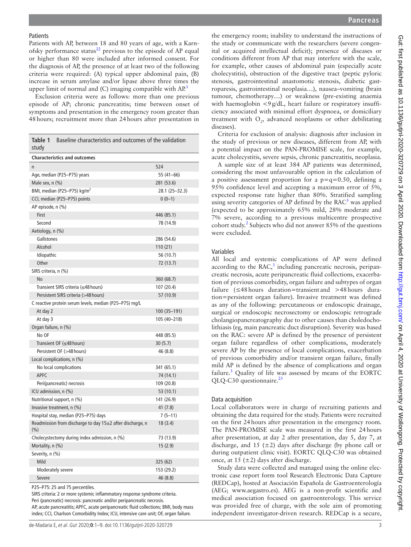#### **Patients**

Patients with AP, between 18 and 80 years of age, with a Karnofsky performance status $^{22}$  previous to the episode of AP equal or higher than 80 were included after informed consent. For the diagnosis of AP, the presence of at least two of the following criteria were required: (A) typical upper abdominal pain, (B) increase in serum amylase and/or lipase above three times the upper limit of normal and  $(C)$  imaging compatible with  $AP<sup>3</sup>$ 

Exclusion criteria were as follows: more than one previous episode of AP; chronic pancreatitis; time between onset of symptoms and presentation in the emergency room greater than 48hours; recruitment more than 24hours after presentation in

<span id="page-2-0"></span>

| Table 1<br>Baseline characteristics and outcomes of the validation<br>study |                |  |  |  |  |  |  |  |
|-----------------------------------------------------------------------------|----------------|--|--|--|--|--|--|--|
| <b>Characteristics and outcomes</b>                                         |                |  |  |  |  |  |  |  |
| n                                                                           | 524            |  |  |  |  |  |  |  |
| Age, median (P25-P75) years                                                 | 55 (41-66)     |  |  |  |  |  |  |  |
| Male sex, n (%)                                                             | 281 (53.6)     |  |  |  |  |  |  |  |
| BMI, median (P25-P75) kg/m <sup>2</sup>                                     | 28.1 (25-32.3) |  |  |  |  |  |  |  |
| CCI, median (P25-P75) points                                                | $0(0-1)$       |  |  |  |  |  |  |  |
| AP episode, n (%)                                                           |                |  |  |  |  |  |  |  |
| First                                                                       | 446 (85.1)     |  |  |  |  |  |  |  |
| Second                                                                      | 78 (14.9)      |  |  |  |  |  |  |  |
| Aetiology, n (%)                                                            |                |  |  |  |  |  |  |  |
| Gallstones                                                                  | 286 (54.6)     |  |  |  |  |  |  |  |
| Alcohol                                                                     | 110(21)        |  |  |  |  |  |  |  |
| Idiopathic                                                                  | 56 (10.7)      |  |  |  |  |  |  |  |
| Other                                                                       | 72 (13.7)      |  |  |  |  |  |  |  |
| SIRS criteria, n (%)                                                        |                |  |  |  |  |  |  |  |
| <b>No</b>                                                                   | 360 (68.7)     |  |  |  |  |  |  |  |
| Transient SIRS criteria (≤48 hours)                                         | 107 (20.4)     |  |  |  |  |  |  |  |
| Persistent SIRS criteria (>48 hours)                                        | 57 (10.9)      |  |  |  |  |  |  |  |
| C reactive protein serum levels, median (P25-P75) mg/L                      |                |  |  |  |  |  |  |  |
| At day 2                                                                    | 100 (35–191)   |  |  |  |  |  |  |  |
| At day 3                                                                    | 105 (40-218)   |  |  |  |  |  |  |  |
| Organ failure, n (%)                                                        |                |  |  |  |  |  |  |  |
| No OF                                                                       | 448 (85.5)     |  |  |  |  |  |  |  |
| Transient OF (≤48 hours)                                                    | 30(5.7)        |  |  |  |  |  |  |  |
| Persistent OF (>48 hours)                                                   | 46 (8.8)       |  |  |  |  |  |  |  |
| Local complications, n (%)                                                  |                |  |  |  |  |  |  |  |
| No local complications                                                      | 341 (65.1)     |  |  |  |  |  |  |  |
| <b>APFC</b>                                                                 | 74 (14.1)      |  |  |  |  |  |  |  |
| Peri(pancreatic) necrosis                                                   | 109 (20.8)     |  |  |  |  |  |  |  |
| ICU admission, n (%)                                                        | 53 (10.1)      |  |  |  |  |  |  |  |
| Nutritional support, n (%)                                                  | 141 (26.9)     |  |  |  |  |  |  |  |
| Invasive treatment, n (%)                                                   | 41(7.8)        |  |  |  |  |  |  |  |
| Hospital stay, median (P25-P75) days                                        | $7(5-11)$      |  |  |  |  |  |  |  |
| Readmission from discharge to day 15±2 after discharge, n<br>$(\% )$        | 18(3.4)        |  |  |  |  |  |  |  |
| Cholecystectomy during index admission, n (%)                               | 73 (13.9)      |  |  |  |  |  |  |  |
| Mortality, n (%)                                                            | 15(2.9)        |  |  |  |  |  |  |  |
| Severity, n (%)                                                             |                |  |  |  |  |  |  |  |
| Mild                                                                        | 325 (62)       |  |  |  |  |  |  |  |
| Moderately severe                                                           | 153 (29.2)     |  |  |  |  |  |  |  |
| Severe                                                                      | 46 (8.8)       |  |  |  |  |  |  |  |

P25–P75: 25 and 75 percentiles.

SIRS criteria: 2 or more systemic inflammatory response syndrome criteria. Peri (pancreatic) necrosis: pancreatic and/or peripancreatic necrosis.

AP, acute pancreatitis; APFC, acute peripancreatic fluid collections; BMI, body mass index; CCI, Charlson Comorbidity Index; ICU, intensive care unit; OF, organ failure.

the emergency room; inability to understand the instructions of the study or communicate with the researchers (severe congenital or acquired intellectual deficit); presence of diseases or conditions different from AP that may interfere with the scale, for example, other causes of abdominal pain (especially acute cholecystitis), obstruction of the digestive tract (peptic pyloric stenosis, gastrointestinal anastomotic stenosis, diabetic gastroparesis, gastrointestinal neoplasia…), nausea–vomiting (brain tumour, chemotherapy…) or weakness (pre-existing anaemia with haemoglobin <9g/dL, heart failure or respiratory insufficiency associated with minimal effort dyspnoea, or domiciliary treatment with  $O_2$ , advanced neoplasms or other debilitating diseases).

Criteria for exclusion of analysis: diagnosis after inclusion in the study of previous or new diseases, different from AP, with a potential impact on the PAN-PROMISE scale, for example, acute cholecystitis, severe sepsis, chronic pancreatitis, neoplasia.

A sample size of at least 384 AP patients was determined, considering the most unfavourable option in the calculation of a positive assessment proportion for a  $p=q=0.50$ , defining a 95% confidence level and accepting a maximum error of 5%, expected response rate higher than 80%. Stratified sampling using severity categories of AP defined by the  $RAC<sup>3</sup>$  was applied (expected to be approximately 65% mild, 28% moderate and 7% severe, according to a previous multicentre prospective cohort study.<sup>2</sup> Subjects who did not answer 85% of the questions were excluded.

### Variables

All local and systemic complications of AP were defined according to the  $RAC$ ,<sup>[3](#page-8-15)</sup> including pancreatic necrosis, peripancreatic necrosis, acute peripancreatic fluid collections, exacerbation of previous comorbidity, organ failure and subtypes of organ failure (≤48hours duration=transient and >48hours duration=persistent organ failure). Invasive treatment was defined as any of the following: percutaneous or endoscopic drainage, surgical or endoscopic necrosectomy or endoscopic retrograde cholangiopancreatography due to other causes than choledocholithiasis (eg, main pancreatic duct disruption). Severity was based on the RAC: severe AP is defined by the presence of persistent organ failure regardless of other complications, moderately severe AP by the presence of local complications, exacerbation of previous comorbidity and/or transient organ failure, finally mild AP is defined by the absence of complications and organ failure.<sup>[3](#page-8-15)</sup> Quality of life was assessed by means of the EORTC  $QLQ-C30$  questionnaire.<sup>[23](#page-8-18)</sup>

## Data acquisition

Local collaborators were in charge of recruiting patients and obtaining the data required for the study. Patients were recruited on the first 24hours after presentation in the emergency room. The PAN-PROMISE scale was measured in the first 24hours after presentation, at day 2 after presentation, day 5, day 7, at discharge, and 15 ( $\pm$ 2) days after discharge (by phone call or during outpatient clinic visit). EORTC QLQ-C30 was obtained once, at 15  $(\pm 2)$  days after discharge.

Study data were collected and managed using the online electronic case report form tool Research Electronic Data Capture (REDCap), hosted at Asociación Española de Gastroenterología (AEG; <www.aegastro.es>). AEG is a non-profit scientific and medical association focused on gastroenterology. This service was provided free of charge, with the sole aim of promoting independent investigator-driven research. REDCap is a secure,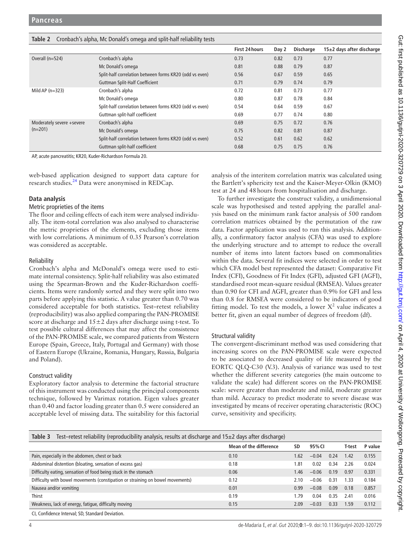<span id="page-3-0"></span>

|  |  | Table 2 Cronbach's alpha, Mc Donald's omega and split-half reliability tests |  |
|--|--|------------------------------------------------------------------------------|--|
|--|--|------------------------------------------------------------------------------|--|

|                                        |                                                         | First 24 hours | Day 2 | <b>Discharge</b> | 15±2 days after discharge |
|----------------------------------------|---------------------------------------------------------|----------------|-------|------------------|---------------------------|
| Overall (n=524)                        | Cronbach's alpha                                        | 0.73           | 0.82  | 0.73             | 0.77                      |
|                                        | Mc Donald's omega                                       | 0.81           | 0.88  | 0.79             | 0.87                      |
|                                        | Split-half correlation between forms KR20 (odd vs even) | 0.56           | 0.67  | 0.59             | 0.65                      |
|                                        | <b>Guttman Split-Half Coefficient</b>                   | 0.71           | 0.79  | 0.74             | 0.79                      |
| Mild AP $(n=323)$                      | Cronbach's alpha                                        | 0.72           | 0.81  | 0.73             | 0.77                      |
|                                        | Mc Donald's omega                                       | 0.80           | 0.87  | 0.78             | 0.84                      |
|                                        | Split-half correlation between forms KR20 (odd vs even) | 0.54           | 0.64  | 0.59             | 0.67                      |
|                                        | Guttman split-half coefficient                          | 0.69           | 0.77  | 0.74             | 0.80                      |
| Moderately severe +severe<br>$(n=201)$ | Cronbach's alpha                                        | 0.69           | 0.75  | 0.72             | 0.76                      |
|                                        | Mc Donald's omega                                       | 0.75           | 0.82  | 0.81             | 0.87                      |
|                                        | Split-half correlation between forms KR20 (odd vs even) | 0.52           | 0.61  | 0.62             | 0.62                      |
|                                        | Guttman split-half coefficient                          | 0.68           | 0.75  | 0.75             | 0.76                      |

AP, acute pancreatitis; KR20, Kuder-Richardson Formula 20.

web-based application designed to support data capture for research studies[.24](#page-8-19) Data were anonymised in REDCap.

# **Data analysis**

# Metric proprieties of the items

The floor and ceiling effects of each item were analysed individually. The item-total correlation was also analysed to characterise the metric proprieties of the elements, excluding those items with low correlations. A minimum of 0.35 Pearson's correlation was considered as acceptable.

# Reliability

Cronbach's alpha and McDonald's omega were used to estimate internal consistency. Split-half reliability was also estimated using the Spearman-Brown and the Kuder-Richardson coefficients. Items were randomly sorted and they were split into two parts before applying this statistic. A value greater than 0.70 was considered acceptable for both statistics. Test–retest reliability (reproducibility) was also applied comparing the PAN-PROMISE score at discharge and  $15±2$  days after discharge using t-test. To test possible cultural differences that may affect the consistence of the PAN-PROMISE scale, we compared patients from Western Europe (Spain, Greece, Italy, Portugal and Germany) with those of Eastern Europe (Ukraine, Romania, Hungary, Russia, Bulgaria and Poland).

# Construct validity

Exploratory factor analysis to determine the factorial structure of this instrument was conducted using the principal components technique, followed by Varimax rotation. Eigen values greater than 0.40 and factor loading greater than 0.5 were considered an acceptable level of missing data. The suitability for this factorial analysis of the interitem correlation matrix was calculated using the Bartlett's sphericity test and the Kaiser-Meyer-Olkin (KMO) test at 24 and 48hours from hospitalisation and discharge.

To further investigate the construct validity, a unidimensional scale was hypothesised and tested applying the parallel analysis based on the minimum rank factor analysis of 500 random correlation matrices obtained by the permutation of the raw data. Factor application was used to run this analysis. Additionally, a confirmatory factor analysis (CFA) was used to explore the underlying structure and to attempt to reduce the overall number of items into latent factors based on commonalities within the data. Several fit indices were selected in order to test which CFA model best represented the dataset: Comparative Fit Index (CFI), Goodness of Fit Index (GFI), adjusted GFI (AGFI), standardised root mean-square residual (RMSEA). Values greater than 0.90 for CFI and AGFI, greater than 0.9% for GFI and less than 0.8 for RMSEA were considered to be indicators of good fitting model. To test the models, a lower  $X^2$  value indicates a better fit, given an equal number of degrees of freedom (df).

# Structural validity

The convergent-discriminant method was used considering that increasing scores on the PAN-PROMISE scale were expected to be associated to decreased quality of life measured by the EORTC QLQ-C30 (V.3). Analysis of variance was used to test whether the different severity categories (the main outcome to validate the scale) had different scores on the PAN-PROMISE scale: severe greater than moderate and mild, moderate greater than mild. Accuracy to predict moderate to severe disease was investigated by means of receiver operating characteristic (ROC) curve, sensitivity and specificity.

<span id="page-3-1"></span>

| Test-retest reliability (reproducibility analysis, results at discharge and $15\pm2$ days after discharge)<br>Table 3 |                        |      |         |      |        |         |  |  |  |
|-----------------------------------------------------------------------------------------------------------------------|------------------------|------|---------|------|--------|---------|--|--|--|
|                                                                                                                       | Mean of the difference | SD   | 95% CI  |      | T-test | P value |  |  |  |
| Pain, especially in the abdomen, chest or back                                                                        | 0.10                   | 1.62 | $-0.04$ | 0.24 | 1.42   | 0.155   |  |  |  |
| Abdominal distention (bloating, sensation of excess gas)                                                              | 0.18                   | 1.81 | 0.02    | 0.34 | 2.26   | 0.024   |  |  |  |
| Difficulty eating, sensation of food being stuck in the stomach                                                       | 0.06                   | 1.46 | $-0.06$ | 0.19 | 0.97   | 0.331   |  |  |  |
| Difficulty with bowel movements (constipation or straining on bowel movements)                                        | 0.12                   | 2.10 | $-0.06$ | 0.31 | 1.33   | 0.184   |  |  |  |
| Nausea and/or vomiting                                                                                                | 0.01                   | 0.99 | $-0.08$ | 0.09 | 0.18   | 0.857   |  |  |  |
| Thirst                                                                                                                | 0.19                   | 1.79 | 0.04    | 0.35 | 2.41   | 0.016   |  |  |  |
| Weakness, lack of energy, fatigue, difficulty moving                                                                  | 0.15                   | 2.09 | $-0.03$ | 0.33 | 1.59   | 0.112   |  |  |  |
| CI, Confidence Interval; SD, Standard Deviation.                                                                      |                        |      |         |      |        |         |  |  |  |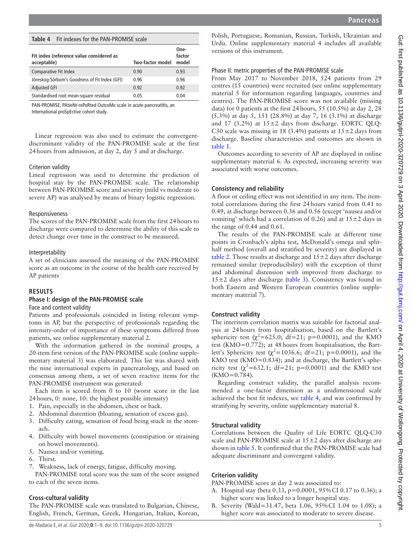<span id="page-4-0"></span>**Table 4** Fit indexes for the PAN-PROMISE scale

| Fit index (reference value considered as<br>acceptable) | Two-factor model | One-<br>factor<br>model |
|---------------------------------------------------------|------------------|-------------------------|
| <b>Comparative Fit Index</b>                            | 0.90             | 0.93                    |
| Jöreskog-Sörbom's Goodness of Fit Index (GFI)           | 0.96             | 0.96                    |
| <b>Adjusted GFI</b>                                     | 0.92             | 0.92                    |
| Standardised root mean-square residual                  | 0.05             | 0.04                    |

PAN-PROMISE, PAtieNt-rePoRted OutcoMe scale in acute pancreatItis, an International proSpEctive cohort study.

Linear regression was also used to estimate the convergentdiscriminant validity of the PAN-PROMISE scale at the first 24hours from admission, at day 2, day 5 and at discharge.

#### Criterion validity

Lineal regression was used to determine the prediction of hospital stay by the PAN-PROMISE scale. The relationship between PAN-PROMISE score and severity (mild vs moderate to severe AP) was analysed by means of binary logistic regression.

#### Responsiveness

The scores of the PAN-PROMISE scale from the first 24hours to discharge were compared to determine the ability of this scale to detect change over time in the construct to be measured.

#### Interpretability

A set of clinicians assessed the meaning of the PAN-PROMISE score as an outcome in the course of the health care received by AP patients

#### **Results**

#### **Phase I: design of the PAN-PROMISE scale**

Face and content validity

Patients and professionals coincided in listing relevant symptoms in AP, but the perspective of professionals regarding the intensity-order of importance of these symptoms differed from patients, see [online supplementary material 2](https://dx.doi.org/10.1136/gutjnl-2020-320729).

With the information gathered in the nominal groups, a 20-item first version of the PAN-PROMISE scale [\(online supple](https://dx.doi.org/10.1136/gutjnl-2020-320729)[mentary material 3\)](https://dx.doi.org/10.1136/gutjnl-2020-320729) was elaborated. This list was shared with the nine international experts in pancreatology, and based on consensus among them, a set of seven reactive items for the PAN-PROMISE instrument was generated:

Each item is scored from 0 to 10 (worst score in the last 24hours, 0: none, 10: the highest possible intensity)

- 1. Pain, especially in the abdomen, chest or back.
- 2. Abdominal distention (bloating, sensation of excess gas).
- 3. Difficulty eating, sensation of food being stuck in the stomach.
- 4. Difficulty with bowel movements (constipation or straining on bowel movements).
- 5. Nausea and/or vomiting.
- 6. Thirst.
- 7. Weakness, lack of energy, fatigue, difficulty moving.

PAN-PROMISE total score was the sum of the score assigned to each of the seven items.

#### **Cross-cultural validity**

The PAN-PROMISE scale was translated to Bulgarian, Chinese, English, French, German, Greek, Hungarian, Italian, Korean,

Polish, Portuguese, Romanian, Russian, Turkish, Ukrainian and Urdu. [Online supplementary material 4](https://dx.doi.org/10.1136/gutjnl-2020-320729) includes all available versions of this instrument.

#### Phase II: metric properties of the PAN-PROMISE scale

From May 2017 to November 2018, 524 patients from 29 centres (15 countries) were recruited (see [online supplementary](https://dx.doi.org/10.1136/gutjnl-2020-320729) [material 5](https://dx.doi.org/10.1136/gutjnl-2020-320729) for information regarding languages, countries and centres). The PAN-PROMISE score was not available (missing data) for 0 patients at the first 24hours, 55 (10.5%) at day 2, 28 (5.3%) at day 5, 151 (28.8%) at day 7, 16 (3.1%) at discharge and 17 (3.2%) at  $15\pm2$  days from discharge. EORTC QLQ-C30 scale was missing in 18 (3.4%) patients at  $15±2$  days from discharge. Baseline characteristics and outcomes are shown in [table](#page-2-0) 1.

Outcomes according to severity of AP are displayed in [online](https://dx.doi.org/10.1136/gutjnl-2020-320729) [supplementary material 6](https://dx.doi.org/10.1136/gutjnl-2020-320729). As expected, increasing severity was associated with worse outcomes.

#### **Consistency and reliability**

A floor or ceiling effect was not identified in any item. The itemtotal correlations during the first 24hours varied from 0.41 to 0.49, at discharge between 0.36 and 0.56 (except 'nausea and/or vomiting' which had a correlation of 0.26) and at  $15±2$  days in the range of 0.44 and 0.61.

The results of the PAN-PROMISE scale at different time points in Cronbach's alpha test, McDonald's omega and splithalf method (overall and stratified by severity) are displayed in [table](#page-3-0) 2. Those results at discharge and  $15 \pm 2$  days after discharge remained similar (reproducibility) with the exception of thirst and abdominal distension with improved from discharge to  $15±2$  days after discharge ([table](#page-3-1) 3). Consistency was found in both Eastern and Western European countries [\(online supple](https://dx.doi.org/10.1136/gutjnl-2020-320729)[mentary material 7\)](https://dx.doi.org/10.1136/gutjnl-2020-320729).

# **Construct validity**

The interitem correlation matrix was suitable for factorial analysis at 24hours from hospitalisation, based on the Bartlett's sphericity test  $(\chi^2=625.0; df=21; p=0.0001)$ , and the KMO test (KMO=0.772); at 48hours from hospitalisation, the Bartlett's Sphericity test ( $\chi^2$ =1036.6; df=21; p=0.0001), and the KMO test (KMO=0.834); and at discharge, the Bartlett's sphericity test  $(\chi^2=632.1; df=21; p=0.0001)$  and the KMO test  $(KMO=0.784)$ .

Regarding construct validity, the parallel analysis recommended a one-factor dimension as a unidimensional scale achieved the best fit indexes, see [table](#page-4-0) 4, and was confirmed by stratifying by severity, [online supplementary material 8.](https://dx.doi.org/10.1136/gutjnl-2020-320729)

#### **Structural validity**

Correlations between the Quality of Life EORTC QLQ-C30 scale and PAN-PROMISE scale at  $15±2$  days after discharge are shown in [table](#page-5-0) 5. It confirmed that the PAN-PROMISE scale had adequate discriminant and convergent validity.

#### **Criterion validity**

PAN-PROMISE score at day 2 was associated to:

- A. Hospital stay (beta 0.33, p=0.0001, 95%CI 0.17 to 0.36); a higher score was linked to a longer hospital stay.
- B. Severity (Wald=31.47, beta 1.06, 95%CI 1.04 to 1.08); a higher score was associated to moderate to severe disease.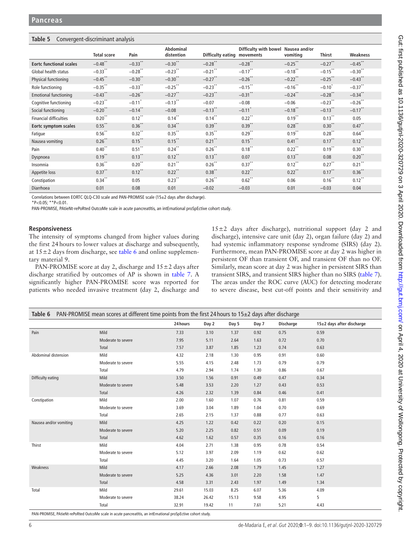# <span id="page-5-0"></span>**Table 5** Convergent-discriminant analysis

|                                | <b>Total score</b>   | Pain                 | Abdominal<br>distention | <b>Difficulty eating</b> | Difficulty with bowel Nausea and/or<br>movements | vomiting              | <b>Thirst</b>        | Weakness             |
|--------------------------------|----------------------|----------------------|-------------------------|--------------------------|--------------------------------------------------|-----------------------|----------------------|----------------------|
| <b>Eortc functional scales</b> | $-0.48$ **           | $-0.33***$           | $-0.30$ **              | $-0.28$ **               | $-0.28$ **                                       | $-0.25$ **            | $-0.27$ **           | $-0.45$ **           |
| Global health status           | $-0.33$ **           | $-0.28$ **           | $-0.23$ **              | $-0.21$ **               | $-0.17$ **                                       | $-0.18$ **            | $-0.15$ **           | $-0.30$ **           |
| Physical functioning           | $-0.45$ **           | $-0.30$ **           | $-0.30$ **              | $-0.27$ <sup>**</sup>    | $-0.26$ **                                       | $-0.22$ <sup>**</sup> | $-0.25$              | $-0.43$ **           |
| Role functioning               | $-0.35$ **           | $-0.33$ **           | $-0.25$ **              | $-0.23$ <sup>**</sup>    | $-0.15$ **                                       | $-0.16$ **            | $-0.10^{*}$          | $-0.37$ **           |
| <b>Emotional functioning</b>   | $-0.43$ **           | $-0.26$ **           | $-0.27$ <sup>**</sup>   | $-0.23$ **               | $-0.31$ **                                       | $-0.24$ **            | $-0.28$ **           | $-0.34$ **           |
| Cognitive functioning          | $-0.23$ **           | $-0.11$ <sup>*</sup> | $-0.13$ **              | $-0.07$                  | $-0.08$                                          | $-0.06$               | $-0.23$ **           | $-0.26$ **           |
| Social functioning             | $-0.20$ **           | $-0.14$ **           | $-0.08$                 | $-0.13$ <sup>**</sup>    | $-0.11$ <sup>*</sup>                             | $-0.18$ **            | $-0.13$ **           | $-0.17$ **           |
| <b>Financial difficulties</b>  | $0.20$ **            | $0.12$ **            | $0.14$ **               | $0.14$ **                | $0.22$ **                                        | $0.19***$             | $0.13***$            | 0.05                 |
| <b>Eortc symptom scales</b>    | $0.55$ **            | $0.36$ **            | $0.34$ **               | $0.39$ **                | $0.39$ **                                        | $0.28$ **             | $0.30***$            | $0.47$ **            |
| Fatique                        | $0.56$ **            | $0.32***$            | $0.35$ **               | $0.35***$                | $0.29$ **                                        | $0.19$ **             | $0.28$ **            | $0.64$ **            |
| Nausea vomiting                | $0.26$ **            | $0.15$ <sup>**</sup> | $0.15$ **               | $0.21$ <sup>**</sup>     | $0.15$ **                                        | $0.41$ <sup>**</sup>  | $0.17$ <sup>**</sup> | $0.12$ <sup>**</sup> |
| Pain                           | $0.40$ **            | $0.51$ **            | $0.24$ **               | $0.26***$                | $0.18$ **                                        | $0.22$ **             | $0.19$ **            | $0.30***$            |
| Dyspnoea                       | $0.19$ **            | $0.13$ <sup>**</sup> | $0.12$ **               | $0.13$ **                | 0.07                                             | $0.13$ <sup>**</sup>  | 0.08                 | $0.20$ **            |
| Insomnia                       | $0.36$ <sup>**</sup> | $0.20$ <sup>**</sup> | $0.21$ **               | $0.26$ <sup>**</sup>     | $0.37$ <sup>**</sup>                             | $0.12$ **             | $0.27$ **            | $0.21$ **            |
| Appetite loss                  | $0.37$ **            | $0.12$ <sup>**</sup> | $0.22$ <sup>**</sup>    | $0.38$ **                | $0.22$ <sup>**</sup>                             | $0.22$ <sup>**</sup>  | $0.17$ **            | $0.36$ **            |
| Constipation                   | $0.34$ <sup>**</sup> | 0.05                 | $0.23***$               | $0.26***$                | $0.62$ **                                        | 0.06                  | $0.16***$            | $0.12$ **            |
| Diarrhoea                      | 0.01                 | 0.08                 | 0.01                    | $-0.02$                  | $-0.03$                                          | 0.01                  | $-0.03$              | 0.04                 |

Correlations between EORTC QLQ-C30 scale and PAN-PROMISE scale (15±2 days after discharge).

\*P<0.05; \*\*P<0.01.

PAN-PROMISE, PAtieNt-rePoRted OutcoMe scale in acute pancreatItis, an intErnational proSpEctive cohort study.

## **Responsiveness**

The intensity of symptoms changed from higher values during the first 24hours to lower values at discharge and subsequently, at  $15\pm2$  days from discharge, see [table](#page-5-1) 6 and [online supplemen](https://dx.doi.org/10.1136/gutjnl-2020-320729)[tary material 9.](https://dx.doi.org/10.1136/gutjnl-2020-320729)

PAN-PROMISE score at day 2, discharge and  $15 \pm 2$  days after discharge stratified by outcomes of AP is shown in [table](#page-6-0) 7. A significantly higher PAN-PROMISE score was reported for patients who needed invasive treatment (day 2, discharge and

15±2 days after discharge), nutritional support (day 2 and discharge), intensive care unit (day 2), organ failure (day 2) and had systemic inflammatory response syndrome (SIRS) (day 2). Furthermore, mean PAN-PROMISE score at day 2 was higher in persistent OF than transient OF, and transient OF than no OF. Similarly, mean score at day 2 was higher in persistent SIRS than transient SIRS, and transient SIRS higher than no SIRS ([table](#page-6-0) 7). The areas under the ROC curve (AUC) for detecting moderate to severe disease, best cut-off points and their sensitivity and

<span id="page-5-1"></span>

| Table 6 PAN-PROMISE mean scores at different time points from the first 24 hours to $15\pm2$ days after discharge |                                                                                                           |       |       |       |      |      |      |  |  |  |
|-------------------------------------------------------------------------------------------------------------------|-----------------------------------------------------------------------------------------------------------|-------|-------|-------|------|------|------|--|--|--|
|                                                                                                                   | 24 hours<br><b>Discharge</b><br>15±2 days after discharge<br>Day 2<br>Day 5<br>Day 7                      |       |       |       |      |      |      |  |  |  |
| Pain                                                                                                              | Mild                                                                                                      | 7.33  | 3.10  | 1.37  | 0.92 | 0.75 | 0.59 |  |  |  |
|                                                                                                                   | Moderate to severe                                                                                        | 7.95  | 5.11  | 2.64  | 1.63 | 0.72 | 0.70 |  |  |  |
|                                                                                                                   | Total                                                                                                     | 7.57  | 3.87  | 1.85  | 1.23 | 0.74 | 0.63 |  |  |  |
| Abdominal distension                                                                                              | Mild                                                                                                      | 4.32  | 2.18  | 1.30  | 0.95 | 0.91 | 0.60 |  |  |  |
|                                                                                                                   | Moderate to severe                                                                                        | 5.55  | 4.15  | 2.48  | 1.73 | 0.79 | 0.79 |  |  |  |
|                                                                                                                   | Total                                                                                                     | 4.79  | 2.94  | 1.74  | 1.30 | 0.86 | 0.67 |  |  |  |
| Difficulty eating                                                                                                 | Mild                                                                                                      | 3.50  | 1.56  | 0.91  | 0.49 | 0.47 | 0.34 |  |  |  |
|                                                                                                                   | Moderate to severe                                                                                        | 5.48  | 3.53  | 2.20  | 1.27 | 0.43 | 0.53 |  |  |  |
|                                                                                                                   | Total                                                                                                     | 4.26  | 2.32  | 1.39  | 0.84 | 0.46 | 0.41 |  |  |  |
| Constipation                                                                                                      | Mild                                                                                                      | 2.00  | 1.60  | 1.07  | 0.76 | 0.81 | 0.59 |  |  |  |
|                                                                                                                   | Moderate to severe                                                                                        | 3.69  | 3.04  | 1.89  | 1.04 | 0.70 | 0.69 |  |  |  |
|                                                                                                                   | Total                                                                                                     | 2.65  | 2.15  | 1.37  | 0.88 | 0.77 | 0.63 |  |  |  |
| Nausea and/or vomiting                                                                                            | Mild                                                                                                      | 4.25  | 1.22  | 0.42  | 0.22 | 0.20 | 0.15 |  |  |  |
|                                                                                                                   | Moderate to severe                                                                                        | 5.20  | 2.25  | 0.82  | 0.51 | 0.09 | 0.19 |  |  |  |
|                                                                                                                   | Total                                                                                                     | 4.62  | 1.62  | 0.57  | 0.35 | 0.16 | 0.16 |  |  |  |
| Thirst                                                                                                            | Mild                                                                                                      | 4.04  | 2.71  | 1.38  | 0.95 | 0.78 | 0.54 |  |  |  |
|                                                                                                                   | Moderate to severe                                                                                        | 5.12  | 3.97  | 2.09  | 1.19 | 0.62 | 0.62 |  |  |  |
|                                                                                                                   | Total                                                                                                     | 4.45  | 3.20  | 1.64  | 1.05 | 0.73 | 0.57 |  |  |  |
| Weakness                                                                                                          | Mild                                                                                                      | 4.17  | 2.66  | 2.08  | 1.79 | 1.45 | 1.27 |  |  |  |
|                                                                                                                   | Moderate to severe                                                                                        | 5.25  | 4.36  | 3.01  | 2.20 | 1.58 | 1.47 |  |  |  |
|                                                                                                                   | Total                                                                                                     | 4.58  | 3.31  | 2.43  | 1.97 | 1.49 | 1.34 |  |  |  |
| Total                                                                                                             | Mild                                                                                                      | 29.61 | 15.03 | 8.25  | 6.07 | 5.36 | 4.09 |  |  |  |
|                                                                                                                   | Moderate to severe                                                                                        | 38.24 | 26.42 | 15.13 | 9.58 | 4.95 | 5    |  |  |  |
|                                                                                                                   | Total                                                                                                     | 32.91 | 19.42 | 11    | 7.61 | 5.21 | 4.43 |  |  |  |
|                                                                                                                   | DAN DROMICE DAtionit repeated Outcome code in acute papereatitic an international profective cohort ctudy |       |       |       |      |      |      |  |  |  |

PAN-PROMISE, PAtieNt-rePoRted OutcoMe scale in acute pancreatItis, an intErnational proSpEctive cohort study.

Gut: first published as 10.1136/gutjnl-2020-320729 on 3 April 2020. Downloaded from http://gut.bm/.com/ on April 4, 2020 at University of Wollongong. Protected by copyright Gut: first published as 10.1136/gutjni-2020-320729 on 3 April 2020. Downloaded from com/ on April 4. 2020 at University of Wollongong. Protected by copyright.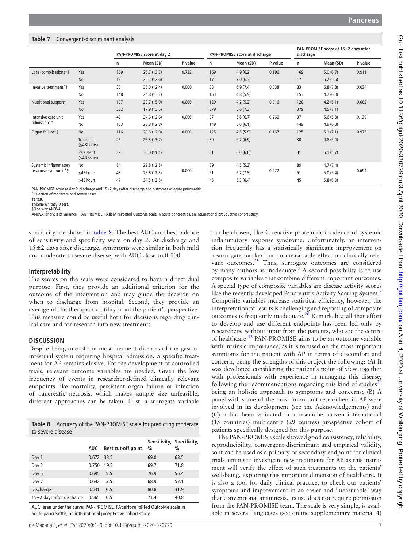# <span id="page-6-0"></span>**Table 7** Convergent-discriminant analysis

|                       |                                       |     | PAN-PROMISE score at 15±2 days after<br>PAN-PROMISE score at day 2<br>PAN-PROMISE score at discharge<br>discharge |         |     |           |         |     |           |         |
|-----------------------|---------------------------------------|-----|-------------------------------------------------------------------------------------------------------------------|---------|-----|-----------|---------|-----|-----------|---------|
|                       |                                       | n   | Mean (SD)                                                                                                         | P value | n   | Mean (SD) | P value | n   | Mean (SD) | P value |
| Local complications*1 | Yes                                   | 169 | 26.7(13.7)                                                                                                        | 0.732   | 169 | 4.9(6.2)  | 0.196   | 169 | 5.0(6.7)  | 0.911   |
|                       | <b>No</b>                             | 12  | 25.3(12.6)                                                                                                        |         | 17  | 7.0(6.3)  |         | 17  | 5.2(5.6)  |         |
| Invasive treatment*‡  | Yes                                   | 33  | 35.0 (12.4)                                                                                                       | 0.000   | 33  | 6.9(7.4)  | 0.038   | 33  | 6.8(7.8)  | 0.034   |
|                       | No                                    | 148 | 24.8 (13.2)                                                                                                       |         | 153 | 4.8(5.9)  |         | 153 | 4.7(6.3)  |         |
| Nutritional support†  | Yes                                   | 137 | 23.7(15.9)                                                                                                        | 0.000   | 129 | 4.2(5.2)  | 0.016   | 128 | 4.2(5.1)  | 0.682   |
|                       | No                                    | 332 | 17.9(13.5)                                                                                                        |         | 379 | 5.6(7.3)  |         | 379 | 4.5(7.1)  |         |
| Intensive care unit   | Yes                                   | 48  | 34.6 (12.6)                                                                                                       | 0.000   | 37  | 5.8(6.7)  | 0.266   | 37  | 5.6(5.8)  | 0.129   |
| admission*‡           | No                                    | 133 | 23.8 (12.8)                                                                                                       |         | 149 | 5.0(6.1)  |         | 149 | 4.9(6.8)  |         |
| Organ failure*§       | <b>No</b>                             | 116 | 23.6 (12.9)                                                                                                       | 0.000   | 125 | 4.5(5.9)  | 0.167   | 125 | 5.1(7.1)  | 0.972   |
|                       | <b>Transient</b><br>$(\leq 48$ hours) | 26  | 26.3(13.7)                                                                                                        |         | 30  | 6.7(6.9)  |         | 30  | 4.8(5.4)  |         |
|                       | Persistent<br>$($ >48 hours)          | 39  | 36.0(11.4)                                                                                                        |         | 31  | 6.0(6.8)  |         | 31  | 5.1(5.7)  |         |
| Systemic inflammatory | No                                    | 84  | 22.8 (12.8)                                                                                                       |         | 89  | 4.5(5.3)  |         | 89  | 4.7(7.4)  |         |
| response syndrome*§   | $\leq$ 48 hours                       | 48  | 25.8(12.3)                                                                                                        | 0.000   | 51  | 6.2(7.5)  | 0.272   | 51  | 5.0(5.4)  | 0.694   |
|                       | >48 hours                             | 47  | 34.5 (13.5)                                                                                                       |         | 45  | 5.3(6.4)  |         | 45  | 5.8(6.3)  |         |

PAN-PROMISE score at day 2, discharge and 15±2 days after discharge and outcomes of acute pancreatitis.

\*Selection of moderate and severe cases.

†t-test.

‡Mann-Whitney U test. §One-way ANOVA.

ANOVA, analysis of variance ; PAN-PROMISE, PAtieNt-rePoRted OutcoMe scale in acute pancreatItis, an intErnational proSpEctive cohort study.

specificity are shown in [table](#page-6-1) 8. The best AUC and best balance of sensitivity and specificity were on day 2. At discharge and  $15±2$  days after discharge, symptoms were similar in both mild and moderate to severe disease, with AUC close to 0.500.

## **Interpretability**

The scores on the scale were considered to have a direct dual purpose. First, they provide an additional criterion for the outcome of the intervention and may guide the decision on when to discharge from hospital. Second, they provide an average of the therapeutic utility from the patient's perspective. This measure could be useful both for decisions regarding clinical care and for research into new treatments.

# **Discussion**

Despite being one of the most frequent diseases of the gastrointestinal system requiring hospital admission, a specific treatment for AP remains elusive. For the development of controlled trials, relevant outcome variables are needed. Given the low frequency of events in researcher-defined clinically relevant endpoints like mortality, persistent organ failure or infection of pancreatic necrosis, which makes sample size unfeasible, different approaches can be taken. First, a surrogate variable

<span id="page-6-1"></span>**Table 8** Accuracy of the PAN-PROMISE scale for predicting moderate to severe disease

|                               | AUC          | Best cut-off point | $\%$ | Sensitivity, Specificity,<br>$\frac{0}{0}$ |
|-------------------------------|--------------|--------------------|------|--------------------------------------------|
| Day 1                         | $0.672$ 33.5 |                    | 69.0 | 63.5                                       |
| Day 2                         | 0.750        | 19.5               | 69.7 | 71.8                                       |
| Day 5                         | 0.695        | 5.5                | 76.9 | 55.4                                       |
| Day 7                         | 0.642        | 3.5                | 68.9 | 57.1                                       |
| Discharge                     | 0.531        | 0.5                | 80.8 | 31.9                                       |
| $15\pm2$ days after discharge | 0.565        | 0.5                | 71.4 | 40.8                                       |

AUC, area under the curve; PAN-PROMISE, PAtieNt-rePoRted OutcoMe scale in acute pancreatItis, an intErnational proSpEctive cohort study.

can be chosen, like C reactive protein or incidence of systemic inflammatory response syndrome. Unfortunately, an intervention frequently has a statistically significant improvement on a surrogate marker but no measurable effect on clinically rele-vant outcomes.<sup>[25](#page-8-20)</sup> Thus, surrogate outcomes are considered by many authors as inadequate.<sup>[5](#page-8-2)</sup> A second possibility is to use composite variables that combine different important outcomes. A special type of composite variables are disease activity scores like the recently developed Pancreatitis Activity Scoring System.<sup>[7](#page-8-4)</sup> Composite variables increase statistical efficiency, however, the interpretation of results is challenging and reporting of composite outcomes is frequently inadequate. $^{26}$  Remarkably, all that effort to develop and use different endpoints has been led only by researchers, without input from the patients, who are the centre of healthcare.[12](#page-8-10) PAN-PROMISE aims to be an outcome variable with intrinsic importance, as it is focused on the most important symptoms for the patient with AP in terms of discomfort and concern, being the strengths of this project the following: (A) It was developed considering the patient's point of view together with professionals with experience in managing this disease, following the recommendations regarding this kind of studies<sup>[20](#page-8-14)</sup> being an holistic approach to symptoms and concerns; (B) A panel with some of the most important researchers in AP were involved in its development (see the Acknowledgements) and (C) it has been validated in a researcher-driven international (15 countries) multicentre (29 centres) prospective cohort of patients specifically designed for this purpose.

The PAN-PROMISE scale showed good consistency, reliability, reproducibility, convergent-discriminant and empirical validity, so it can be used as a primary or secondary endpoint for clinical trials aiming to investigate new treatments for AP, as this instrument will verify the effect of such treatments on the patients' well-being, exploring this important dimension of healthcare. It is also a tool for daily clinical practice, to check our patients' symptoms and improvement in an easier and 'measurable' way that conventional anamnesis. Its use does not require permission from the PAN-PROMISE team. The scale is very simple, is available in several languages (see [online supplementary material 4](https://dx.doi.org/10.1136/gutjnl-2020-320729))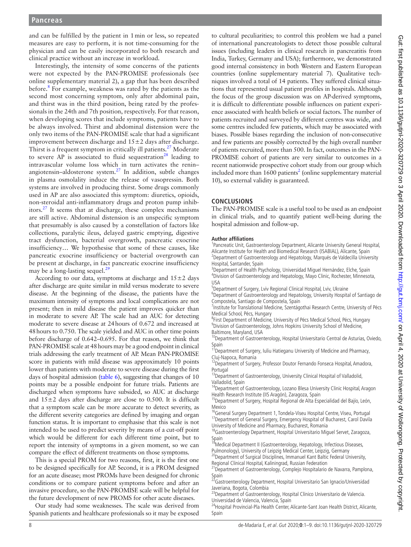and can be fulfilled by the patient in 1min or less, so repeated measures are easy to perform, it is not time-consuming for the physician and can be easily incorporated to both research and clinical practice without an increase in workload.

Interestingly, the intensity of some concerns of the patients were not expected by the PAN-PROMISE professionals (see [online supplementary material 2](https://dx.doi.org/10.1136/gutjnl-2020-320729)), a gap that has been described before.<sup>8</sup> For example, weakness was rated by the patients as the second most concerning symptom, only after abdominal pain, and thirst was in the third position, being rated by the professionals in the 24th and 7th position, respectively. For that reason, when developing scores that include symptoms, patients have to be always involved. Thirst and abdominal distension were the only two items of the PAN-PROMISE scale that had a significant improvement between discharge and  $15±2$  days after discharge. Thirst is a frequent symptom in critically ill patients.<sup>27</sup> Moderate to severe AP is associated to fluid sequestration<sup>28</sup> leading to intravascular volume loss which in turn activates the renin– angiotensin–aldosterone system.[27](#page-8-22) In addition, subtle changes in plasma osmolality induce the release of vasopressin. Both systems are involved in producing thirst. Some drugs commonly used in AP are also associated this symptom: diuretics, opioids, non-steroidal anti-inflammatory drugs and proton pump inhibitors.[27](#page-8-22) It seems that at discharge, these complex mechanisms are still active. Abdominal distension is an unspecific symptom that presumably is also caused by a constellation of factors like collections, paralytic ileus, delayed gastric emptying, digestive tract dysfunction, bacterial overgrowth, pancreatic exocrine insufficiency… We hypothesise that some of these causes, like pancreatic exocrine insufficiency or bacterial overgrowth can be present at discharge, in fact pancreatic exocrine insufficiency may be a long-lasting sequel. $^{29}$  $^{29}$  $^{29}$ 

According to our data, symptoms at discharge and  $15±2$  days after discharge are quite similar in mild versus moderate to severe disease. At the beginning of the disease, the patients have the maximum intensity of symptoms and local complications are not present; then in mild disease the patient improves quicker than in moderate to severe AP. The scale had an AUC for detecting moderate to severe disease at 24hours of 0.672 and increased at 48hours to 0.750. The scale yielded and AUC in other time points before discharge of 0.642–0.695. For that reason, we think that PAN-PROMISE scale at 48hours may be a good endpoint in clinical trials addressing the early treatment of AP. Mean PAN-PROMISE score in patients with mild disease was approximately 10 points lower than patients with moderate to severe disease during the first days of hospital admission ([table](#page-5-1) 6), suggesting that changes of 10 points may be a possible endpoint for future trials. Patients are discharged when symptoms have subsided, so AUC at discharge and  $15±2$  days after discharge are close to 0.500. It is difficult that a symptom scale can be more accurate to detect severity, as the different severity categories are defined by imaging and organ function status. It is important to emphasise that this scale is not intended to be used to predict severity by means of a cut-off point which would be different for each different time point, but to report the intensity of symptoms in a given moment, so we can compare the effect of different treatments on those symptoms.

This is a special PROM for two reasons, first, it is the first one to be designed specifically for AP. Second, it is a PROM designed for an acute disease; most PROMs have been designed for chronic conditions or to compare patient symptoms before and after an invasive procedure, so the PAN-PROMISE scale will be helpful for the future development of new PROMS for other acute diseases.

Our study had some weaknesses. The scale was derived from Spanish patients and healthcare professionals so it may be exposed

to cultural peculiarities; to control this problem we had a panel of international pancreatologists to detect those possible cultural issues (including leaders in clinical research in pancreatitis from India, Turkey, Germany and USA); furthermore, we demonstrated good internal consistency in both Western and Eastern European countries [\(online supplementary material 7\)](https://dx.doi.org/10.1136/gutjnl-2020-320729). Qualitative techniques involved a total of 14 patients. They suffered clinical situations that represented usual patient profiles in hospitals. Although the focus of the group discussion was on AP-derived symptoms, it is difficult to differentiate possible influences on patient experience associated with health beliefs or social factors. The number of patients recruited and surveyed by different centres was wide, and some centres included few patients, which may be associated with biases. Possible biases regarding the inclusion of non-consecutive and few patients are possibly corrected by the high overall number of patients recruited, more than 500. In fact, outcomes in the PAN-PROMISE cohort of patients are very similar to outcomes in a recent nationwide prospective cohort study from our group which included more than  $1600$  patients<sup>2</sup> [\(online supplementary material](https://dx.doi.org/10.1136/gutjnl-2020-320729) [10](https://dx.doi.org/10.1136/gutjnl-2020-320729)), so external validity is guaranteed.

# **Conclusions**

The PAN-PROMISE scale is a useful tool to be used as an endpoint in clinical trials, and to quantify patient well-being during the hospital admission and follow-up.

#### **Author affiliations**

<sup>1</sup>Pancreatic Unit, Gastroenterology Department, Alicante University General Hospital, Alicante Institute for Health and Biomedical Research (ISABIAL), Alicante, Spain <sup>2</sup> <sup>2</sup>Department of Gastroenterology and Hepatology, Marqués de Valdecilla University Hospital, Santander, Spain <sup>3</sup>

Department of Health Psychology, Universidad Miguel Hernández, Elche, Spain <sup>4</sup> <sup>4</sup>Division of Gastroenterology and Hepatology, Mayo Clinic, Rochester, Minnesota, USA

<sup>5</sup> Department of Surgery, Lviv Regional Clinical Hospital, Lviv, Ukraine

<sup>6</sup>Department of Gastroenterology and Hepatology, University Hospital of Santiago de Compostela, Santiago de Compostela, Spain <sup>7</sup>

Institute for Translational Medicine, Szentágothai Research Centre, University of Pécs Medical School, Pécs, Hungary

<sup>8</sup>First Department of Medicine, University of Pécs Medical School, Pécs, Hungary  $\rm{^{9}Division}$  of Gastroenterology, Johns Hopkins University School of Medicine, Raltimore Maryland USA

10 Department of Gastroenterology, Hospital Universitario Central de Asturias, Oviedo, Spain

<sup>11</sup> Department of Surgery, Iuliu Hatieganu University of Medicine and Pharmacy,

Cluj-Napoca, Romania<br><sup>12</sup>Department of Surgery, Professor Doutor Fernando Fonseca Hospital, Amadora, Portugal

<sup>13</sup>Department of Gastroenterology, University Clinical Hospital of Valladolid,

Valladolid, Spain<br><sup>14</sup>Department of Gastroenterology, Lozano Blesa University Clinic Hospital, Aragon

Health Research Institute (IIS Aragón), Zaragoza, Spain<br><sup>15</sup>Department of Surgery, Hospital Regional de Alta Especialidad del Bajío, León, Mexico<br><sup>16</sup>General Surgery Department 1, Tondela-Viseu Hospital Centre, Viseu, Portugal

17 Department of General Surgery, Emergency Hospital of Bucharest, Carol Davila

University of Medicine and Pharmacy, Bucharest, Romania<br><sup>18</sup>Gastroenterology Department, Hospital Universitario Miguel Servet, Zaragoza,

Spain<br><sup>19</sup>Medical Department II (Gastroenterology, Hepatology, Infectious Diseases, Pulmonology), University of Leipzig Medical Center, Leipzig, Germany<br><sup>20</sup>Department of Surgical Disciplines, Immanuel Kant Baltic Federal University,

Regional Clinical Hospital, Kaliningrad, Russian Federation<br><sup>21</sup>Department of Gastroenterology, Complejo Hospitalario de Navarra, Pamplona, Spain

22Gastroenterology Department, Hospital Universitario San Ignacio/Universidad

Javeriana, Bogota, Colombia<br><sup>23</sup>Department of Gastroenterology, Hospital Clínico Universitario de Valencia.

Universidad de Valencia, Valencia, Spain<br><sup>24</sup>Hospital Provincial-Pla Health Center, Alicante-Sant Joan Health District, Alicante, Spain